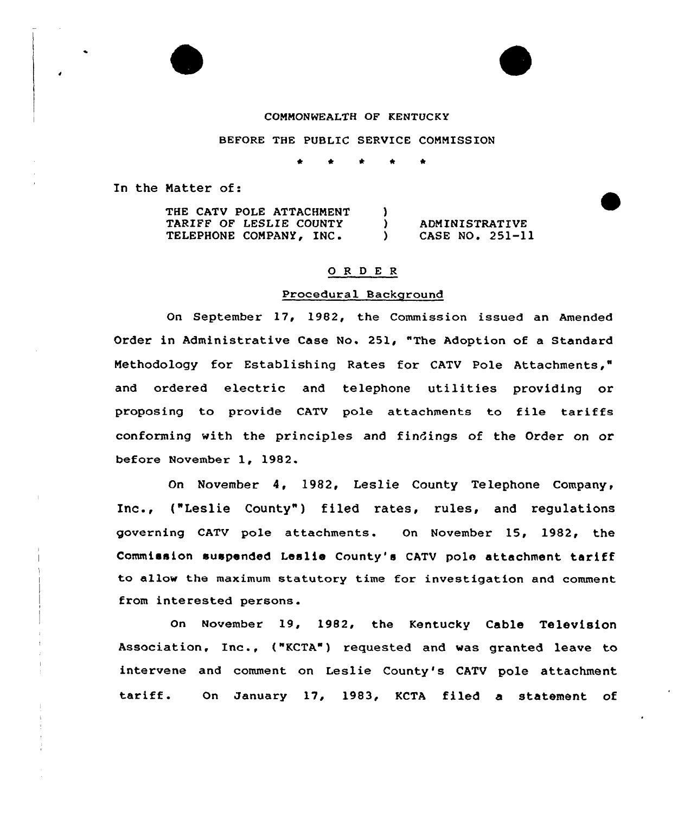

#### COMMONWEALTH OF KENTUCKY

# BEFORE THE PUBLIC SERVICE COMMISSION

\* \* \* \*

In the Matter of:

| THE CATV POLE ATTACHMENT |                 |
|--------------------------|-----------------|
| TARIFF OF LESLIE COUNTY  | ADMINISTRATIVE  |
| TELEPHONE COMPANY, INC.  | CASE NO. 251-11 |

# 0 <sup>R</sup> <sup>D</sup> <sup>E</sup> <sup>R</sup>

#### Procedural Background

On September 17, 1982, the Commission issued an Amended Order in Administrative Case No. 251, "The Adoption of a Standard Methodology for Establishing Rates for CATV Pole Attachments," and ordered electric and telephone utilities providing or proposing to provide CATV pole attachments to file tariffs conforming with the principles and findings of the Order on or before November 1, 1982.

On November 4, 1982, Leslie County Telephone Company, Inc., ("Leslie County") filed rates, rules, and regulations governing CATV pole attachments. On November 15, 1982, the Commission suspended Leslie County's CATV pole attachment tariff to allow the maximum statutory time for investigation and comment from interested persons.

On November 19, 1982, the Kentucky Cable Television Association, Inc., ("KCTA") requested and was granted leave to intervene and comment on Leslie County's CATV pole attachment tariff. On January 17, 1983, KCTA filed <sup>a</sup> statement of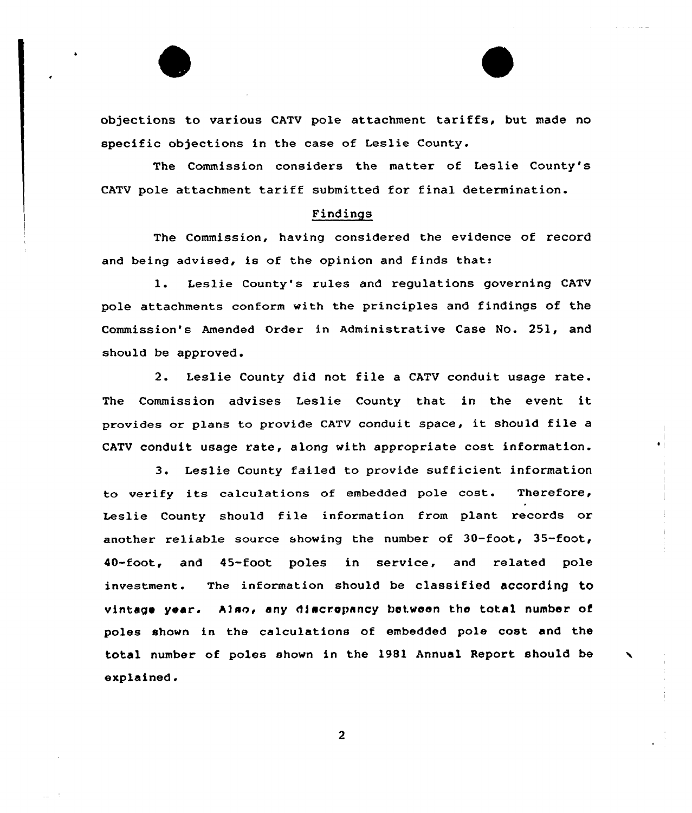objections to various CATV pole attachment tariffs, but made no specific objections in the case of Leslie County.

The Commission considers the matter of Leslie County's CATV pole attachment tariff submitted for final determination.

# Findings

The Commission, having considered the evidence of record and being advised, is of the opinion and finds that:

1. Leslie County's xules and regulations governing CATV pole attachments conform with the principles and findings of the Commission's Amended Ordex in Administrative Case No. 251, and should be approved.

2. Leslie County did not file a CATV conduit usage rate. The Commission advises Leslie County that in the event it provides or plans to provide CATV conduit space, it should file a CATV conduit usage rate, along with appropriate cost infoxmation.

3. Leslie County failed to provide sufficient information to verify its calculations of embedded pole cost. Therefore, Leslie County should file information from plant records or another reliable source showing the number of 30-foot, 35-foot, 40-foot, and 45-foot poles in service, and related pole investment. The information should be classified according to vintage year. Also, any discropancy between the total number of poles shown in the calculations of embedded pole cost and the total number of poles shown in the 1981 Annual Report should be explained.

 $\overline{2}$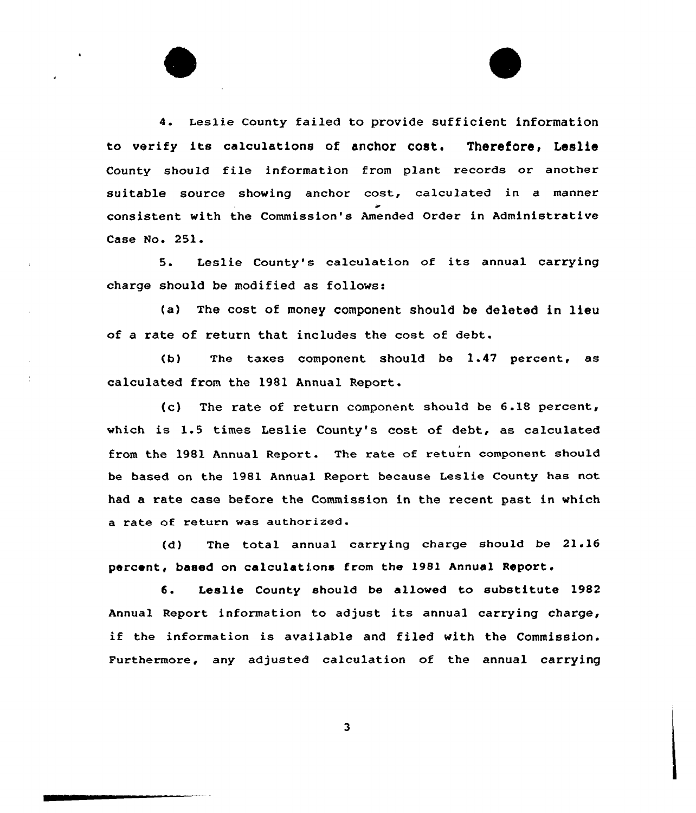4. Leslie county failed to provide sufficient information to verify its calculations of anchor cost. Therefore, Leslie County should file information from plant records or another suitable source shoving anchor cost, calculated in a manner consistent vith the Commission's Amended Order in Administrative Case No. 251.

5. Leslie County's calculation of its annual carrying charge should be modified as follows:

(a) The cost of money component should be deleted in lieu of a rate of return that includes the cost of debt.

(b) The taxes component should be 1.47 percent, as calculated fxom the 1981 Annual Report.

(c) The rate of return component should be 6.18 percent, which is 1.5 times Leslie County's cost of debt, as calculated from the 1981 Annual Report. The rate of return component should be based on the 1981 Annual Report because Leslie County has not had a rate case befoxe the Commission in the recent past in which a rate of return was authorized.

(d) The total annual carrying charge should be 21.16 percent, based on calculations from the 1981 Annual Report.

6. Leslie County should be allowed to substitute 1982 Annual Report information to adjust its annual carrying charge, if the information is available and filed with the Commission. Furthermore, any adjusted calculation of the annual carrying

 $\overline{\mathbf{3}}$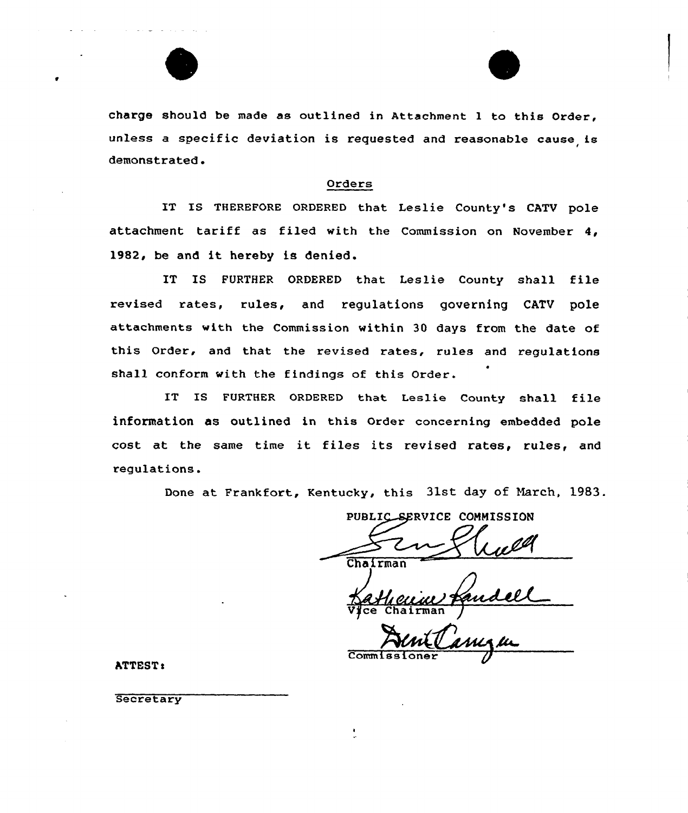



charge should be made as outlined in Attachment I to this Order, unless a specific deviation is requested and reasonable cause is demonstrated .

# Orders

IT IS THEREFORE ORDERED that Leslie County's CATV pole attachment tariff as filed with the Commission on November 4, 1982, be and it hereby is denied.

IT IS FURTHER ORDERED that Leslie County shall file revised rates, rules, and regulations governing CATV pole attachments with the Commission within 30 days from the date of this Order, and that the revised rates, rules and regulations shall conform with the findings of this Order.

IT IS FURTHER ORDERED that Leslie County shall file information as outlined in this Order concerning embedded pole cost at the same time it files its revised rates, rules, and regulations.

Done at Frankfort, Kentucky, this 31st day of March, l983.

PUBLIC SERVICE COMMISSION Chairman

Chairman

Comm I

hTTESTt

**Secretary**